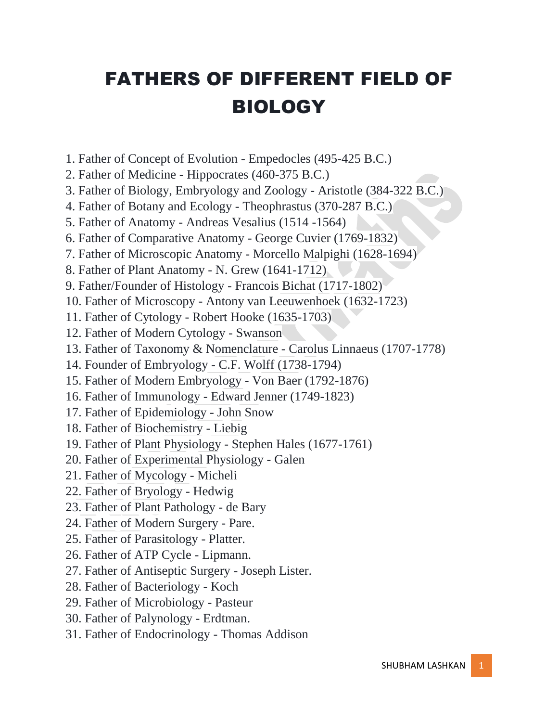## FATHERS OF DIFFERENT FIELD OF BIOLOGY

- 1. Father of Concept of Evolution Empedocles (495-425 B.C.)
- 2. Father of Medicine Hippocrates (460-375 B.C.)
- 3. Father of Biology, Embryology and Zoology Aristotle (384-322 B.C.)
- 4. Father of Botany and Ecology Theophrastus (370-287 B.C.)
- 5. Father of Anatomy Andreas Vesalius (1514 -1564)
- 6. Father of Comparative Anatomy George Cuvier (1769-1832)
- 7. Father of Microscopic Anatomy Morcello Malpighi (1628-1694)
- 8. Father of Plant Anatomy N. Grew (1641-1712)
- 9. Father/Founder of Histology Francois Bichat (1717-1802)
- 10. Father of Microscopy Antony van Leeuwenhoek (1632-1723)
- 11. Father of Cytology Robert Hooke (1635-1703)
- 12. Father of Modern Cytology Swanson
- 13. Father of Taxonomy & Nomenclature Carolus Linnaeus (1707-1778)
- 14. Founder of Embryology C.F. Wolff (1738-1794)
- 15. Father of Modern Embryology Von Baer (1792-1876)
- 16. Father of Immunology Edward Jenner (1749-1823)
- 17. Father of Epidemiology John Snow
- 18. Father of Biochemistry Liebig
- 19. Father of Plant Physiology Stephen Hales (1677-1761)
- 20. Father of Experimental Physiology Galen
- 21. Father of Mycology Micheli
- 22. Father of Bryology Hedwig
- 23. Father of Plant Pathology de Bary
- 24. Father of Modern Surgery Pare.
- 25. Father of Parasitology Platter.
- 26. Father of ATP Cycle Lipmann.
- 27. Father of Antiseptic Surgery Joseph Lister.
- 28. Father of Bacteriology Koch
- 29. Father of Microbiology Pasteur
- 30. Father of Palynology Erdtman.
- 31. Father of Endocrinology Thomas Addison